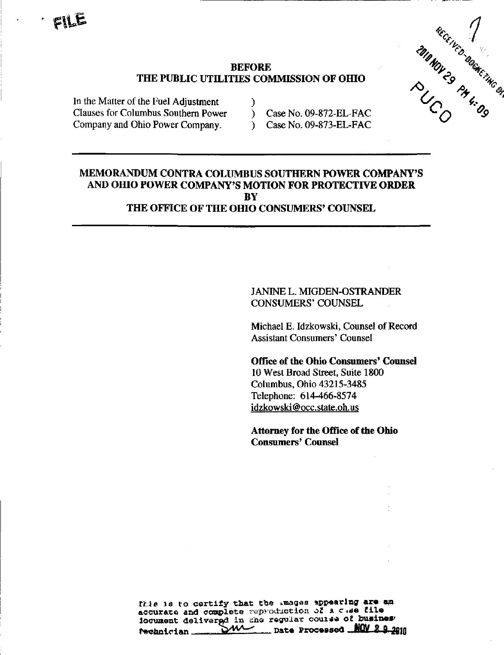

### $BEFORE$ THE PUBLIC UTILITIES COMMISSION OF OHIO

Clauses for Columbus Southern Power ) Case No. 09-872-EL-FAC Company and Ohio Power Company. Case No. 09-873-EL-FAC In the Matter of the Fuel Adjustment )

## MEMORANDUM CONTRA COLUMBUS SOUTHERN POWER COMPANY'S AND OHIO POWER COMPANY'S MOTION FOR PROTECTIVE ORDER **BY**

THE OFFICE OF THE OHIO CONSUMERS' COUNSEL

## JANINE L. MIGDEN-OSTRANDER CONSUMERS' COUNSEL

Michael E. Idzkowski, Counsel of Record Assistant Consumers' Counsel

## Office of the Ohio Consumers' Counsel 10 West Broad Street, Suite 1800 Columbus, Ohio 43215-3485 Telephone: 614-466-8574 [idzkowski@occ.state.oh.us](mailto:idzkowski@occ.state.oh.us)

Attorney for the Office of the Ohio Consumers' Counsel

fhis is to certify that the images appearing are an accurate and complete reproduction of a c .se file locument delivered in che regular course of busines.<br>Reganician and DW regular processed NOW 200  $\frac{1}{\sqrt{W}}$  Date Processed WW 8 8 2010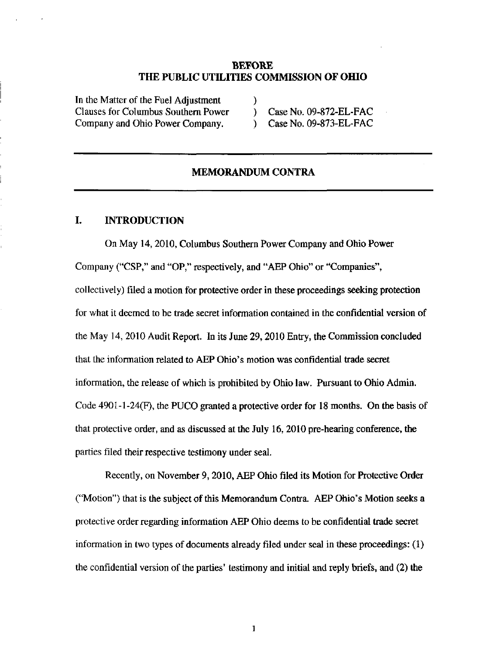#### BEFORE THE PUBLIC UTILITIES COMMISSION OF OHIO

In the Matter of the Fuel Adjustment ) Clauses for Columbus Southern Power ) Case No. 09-872-EL-FAC Company and Ohio Power Company. (2008) Case No. 09-873-EL-FAC

#### MEMORANDUM CONTRA

#### I. INTRODUCTION

On May 14,2010, Columbus Southern Power Company and Ohio Power Company ("CSP," and "OP," respectively, and "AEP Ohio'' or "Companies", collectively) filed a motion for protective order in these proceedings seeking protection for what it deemed to be trade secret information contained in the confidential version of the May 14, 2010 Audit Report. In its June 29,2010 Entry, the Commission concluded that the information related to AEP Ohio's motion was confidential trade secret information, the release of which is prohibited by Ohio law. Pursuant to Ohio Admin. Code  $4901-1-24(F)$ , the PUCO granted a protective order for 18 months. On the basis of that protective order, and as discussed at the July  $16$ ,  $2010$  pre-hearing conference, the parties filed their respective testimony under seal.

Recently, on November 9,2010, AEP Ohio filed its Motion for Protective Order ("Motion") that is the subject of this Memorandum Contra. AEP Ohio's Motion seeks a protective order regarding information AEP Ohio deems to be confidential trade secret information in two types of documents already filed under seal in these proceedings: (1) the confidential version of the parties' testimony and initial and reply briefs, and (2) the

 $\mathbf{1}$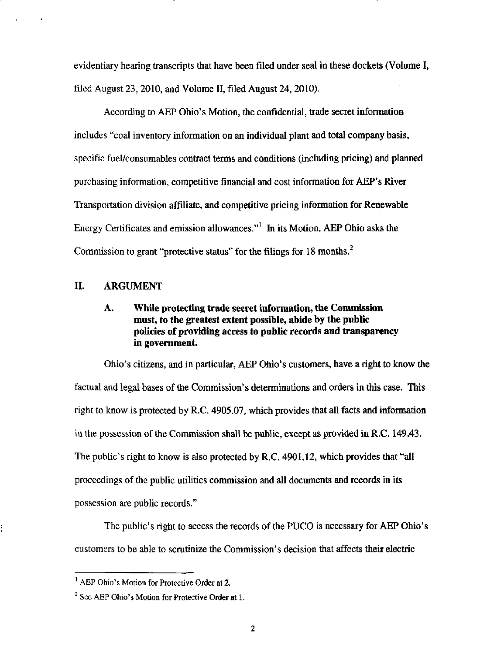evidentiary hearing transcripts that have been filed under seal in these dockets (Volume I, filed August 23,2010, and Volume H, filed August 24,2010).

According to AEP Ohio's Motion, the confidential, trade secret information includes "coal inventory information on an individual plant and total company basis, specific fuel/consumables contract terms and conditions (including pricing) and planned purchasing information, competitive financial and cost information for AEP's River Transportation division affiliate, and competitive pricing information for Renewable Energy Certificates and emission allowances. $^{\prime\prime}$  In its Motion, AEP Ohio asks the Commission to grant "protective status" for the filings for 18 months.<sup>2</sup>

## 11. ARGUMENT

## A. While protecting trade secret information, the Commission must, to the greatest extent possible, abide by the public policies of providing access to public records and transparency in government.

Ohio's citizens, and in particular, AEP Ohio's customers, have a right to know the factual and legal bases of the Commission's determinations and orders in this case. This right to know is protected by R.C. 4905.07, which provides that all facts and information in the possession of the Commission shall be public, except as provided in R.C. 149.43. The public's right to know is also protected by R.C. 4901.12, which provides that "all proceedings of the public utilities commission and all documents and records in its possession are public records."

The public's right to access the records of the PUCO is necessary for AEP Ohio's customers to be able to scrutinize the Commission's decision that affects their electric

<sup>&</sup>lt;sup>1</sup> AEP Ohio's Motion for Protective Order at 2.

 $2^2$  See AEP Ohio's Motion for Protective Order at 1.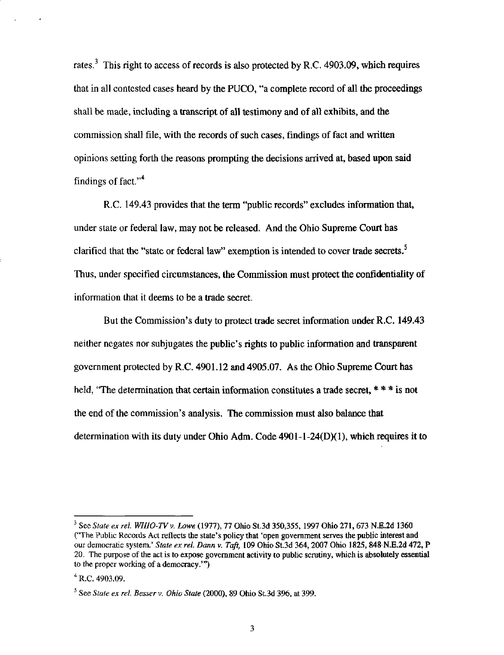rates. $3$  This right to access of records is also protected by R.C. 4903.09, which requires that in all contested cases heard by the PUCO, "a complete record of all the proceedings shall be made, including a transcript of all testimony and of all exhibits, and the commission shall file, with the records of such cases, findings of fact and written opinions setting forth the reasons prompting the decisions arrived at, based upon said findings of fact."<sup>4</sup>

R.C. 149.43 provides that the term "public records" excludes information that, under state or federal law, may not be released. And the Ohio Supreme Court has clarified that the "state or federal law" exemption is intended to cover trade secrets. $<sup>5</sup>$ </sup> Thus, under specified circumstances, the Commission must protect the confidentiality of information that it deems to be a trade secret.

But the Commission's duty to protect trade secret information under R.C. 149.43 neither negates nor subjugates the public's rights to public information and transparent government protected by R.C. 4901.12 and 4905.07. As the Ohio Supreme Court has held, "The determination that certain information constitutes a trade secret, \* \* \* is not the end of the commission's analysis. The commission must also balance that determination with its duty under Ohio Adm. Code 4901-1-24(D)(1), which requires it to

<sup>&</sup>lt;sup>3</sup> See State ex rel. WHIO-TV v. Lowe (1977), 77 Ohio St.3d 350,355, 1997 Ohio 271, 673 N.E.2d 1360 CThe Public Records Act reflects the state's policy that 'open government serves the public interest and our democratic system.' State ex rel. Dann v. Taft, 109 Ohio St.3d 364, 2007 Ohio 1825, 848 N.E.2d 472, P 20. The purpose of the act is to expose government activity to public scrutiny, which is absolutely essential to the proper working of a democracy.'")

 $4^4$  R.C. 4903.09.

 $<sup>5</sup>$  See State ex rel. Besser v. Ohio State (2000), 89 Ohio St.3d 396, at 399.</sup>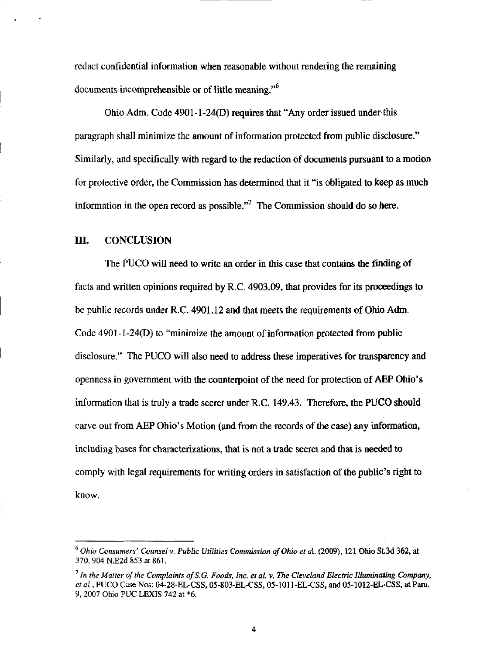redact confidential information when reasonable without rendering the remaining documents incomprehensible or of little meaning."<sup>6</sup>

Ohio Adm. Code  $4901-1-24(D)$  requires that "Any order issued under this paragraph shall minimize the amount of information protected from public disclosure." Similarly, and specifically with regard to the redaction of documents pursuant to a motion for protective order, the Commission has determined that it "is obligated to keep as much information in the open record as possible."<sup>7</sup> The Commission should do so here.

#### IIL CONCLUSION

The PUCO will need to write an order in this case that contains the finding of facts and written opinions required by R.C. 4903.09, that provides for its proceedings to be public records under R.C. 4901.12 and that meets the requirements of Ohio Adm. Code 4901-1-24(D) to "minimize the amount of information protected from public disclosure." The PUCO will also need to address these imperatives for transparency and openness in government with the counterpoint of the need for protection of AEP Ohio's information that is truly a trade secret under R.C.  $149.43$ . Therefore, the PUCO should carve out from AEP Ohio's Motion (and from the records of the case) any information, including bases for characterizations, that is not a trade secret and that is needed to comply with legal requirements for writing orders in satisfaction of the public's right to know.

 $^6$  Ohio Consumers' Counsel v. Public Utilities Commission of Ohio et al. (2009), 121 Ohio St,3d 362, at 370, 904 N.E2d 853 at 861.

<sup>&</sup>lt;sup>7</sup> In the Matter of the Complaints of S.G. Foods, Inc. et al. v. The Cleveland Electric Illuminating Company, et al, PUCO Case Nos: 04-28-EL-CSS, 05-803-EL-CSS, 05-1011-EL-CSS, and 05-1012-EL-CSS, at Para. 9, 2007 Ohio PUC LEXIS 742 at \*6.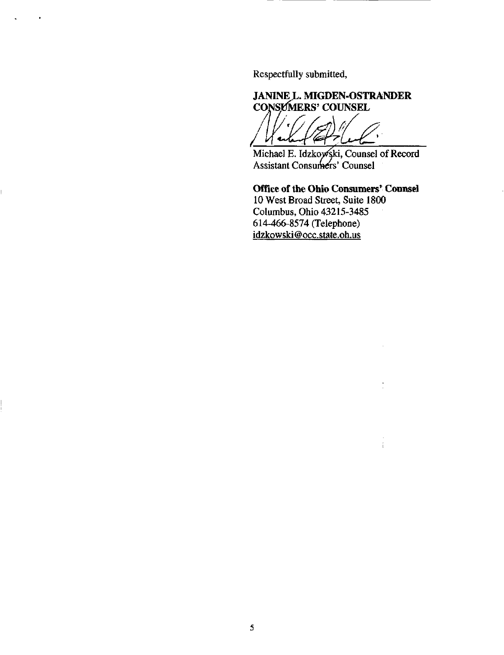Respectfully submitted,

# JANINE L. MIGDEN-OSTRANDER

CONSEMERS' COUNSEL  $\mathcal{T}_{\ell}$  .  $\sqrt{\epsilon}$ f arku V

Michael E. Idzkoy⁄ski, Counsel of Record Assistant Consumers' Counsel

## Office of the Ohio Consumers' Counsel 10 West Broad Street, Suite 1800 Columbus, Ohio 43215-3485

÷

614-466-8574 (Telephone) [idzkowski@occ.state.oh.us](mailto:idzkowski@occ.state.oh.us)